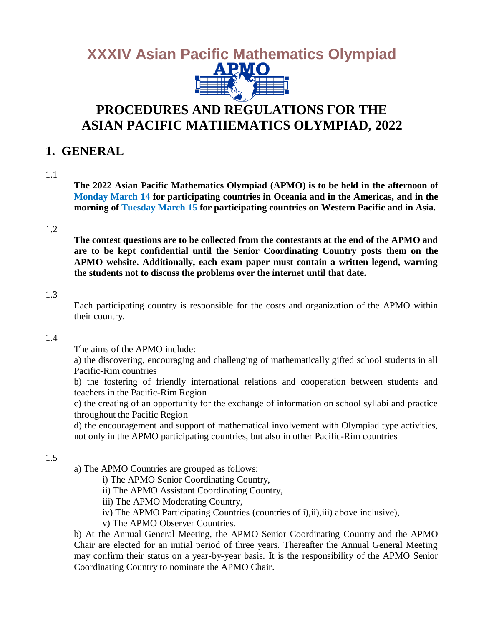

## **PROCEDURES AND REGULATIONS FOR THE ASIAN PACIFIC MATHEMATICS OLYMPIAD, 2022**

### **1. GENERAL**

#### 1.1

**The 2022 Asian Pacific Mathematics Olympiad (APMO) is to be held in the afternoon of Monday March 14 for participating countries in Oceania and in the Americas, and in the morning of Tuesday March 15 for participating countries on Western Pacific and in Asia.**

#### 1.2

**The contest questions are to be collected from the contestants at the end of the APMO and are to be kept confidential until the Senior Coordinating Country posts them on the APMO website. Additionally, each exam paper must contain a written legend, warning the students not to discuss the problems over the internet until that date.**

#### 1.3

Each participating country is responsible for the costs and organization of the APMO within their country.

#### 1.4

The aims of the APMO include:

a) the discovering, encouraging and challenging of mathematically gifted school students in all Pacific-Rim countries

b) the fostering of friendly international relations and cooperation between students and teachers in the Pacific-Rim Region

c) the creating of an opportunity for the exchange of information on school syllabi and practice throughout the Pacific Region

d) the encouragement and support of mathematical involvement with Olympiad type activities, not only in the APMO participating countries, but also in other Pacific-Rim countries

#### 1.5

a) The APMO Countries are grouped as follows:

- i) The APMO Senior Coordinating Country,
- ii) The APMO Assistant Coordinating Country,
- iii) The APMO Moderating Country,
- iv) The APMO Participating Countries (countries of i),ii),iii) above inclusive),
- v) The APMO Observer Countries.

b) At the Annual General Meeting, the APMO Senior Coordinating Country and the APMO Chair are elected for an initial period of three years. Thereafter the Annual General Meeting may confirm their status on a year-by-year basis. It is the responsibility of the APMO Senior Coordinating Country to nominate the APMO Chair.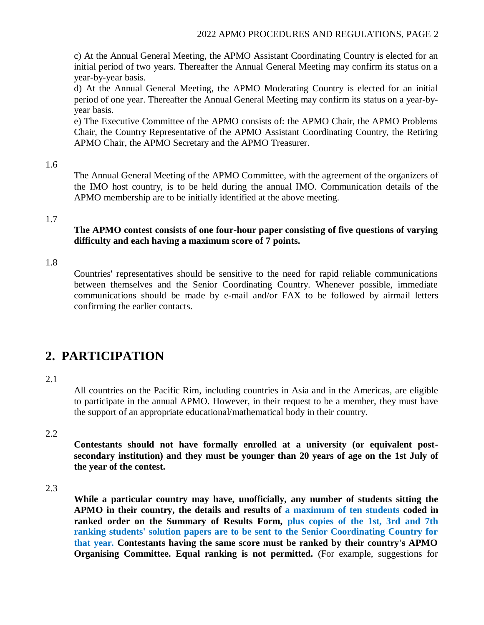c) At the Annual General Meeting, the APMO Assistant Coordinating Country is elected for an initial period of two years. Thereafter the Annual General Meeting may confirm its status on a year-by-year basis.

d) At the Annual General Meeting, the APMO Moderating Country is elected for an initial period of one year. Thereafter the Annual General Meeting may confirm its status on a year-byyear basis.

e) The Executive Committee of the APMO consists of: the APMO Chair, the APMO Problems Chair, the Country Representative of the APMO Assistant Coordinating Country, the Retiring APMO Chair, the APMO Secretary and the APMO Treasurer.

#### 1.6

The Annual General Meeting of the APMO Committee, with the agreement of the organizers of the IMO host country, is to be held during the annual IMO. Communication details of the APMO membership are to be initially identified at the above meeting.

#### 1.7

#### **The APMO contest consists of one four-hour paper consisting of five questions of varying difficulty and each having a maximum score of 7 points.**

#### 1.8

Countries' representatives should be sensitive to the need for rapid reliable communications between themselves and the Senior Coordinating Country. Whenever possible, immediate communications should be made by e-mail and/or FAX to be followed by airmail letters confirming the earlier contacts.

### **2. PARTICIPATION**

#### 2.1

All countries on the Pacific Rim, including countries in Asia and in the Americas, are eligible to participate in the annual APMO. However, in their request to be a member, they must have the support of an appropriate educational/mathematical body in their country.

#### 2.2

**Contestants should not have formally enrolled at a university (or equivalent postsecondary institution) and they must be younger than 20 years of age on the 1st July of the year of the contest.** 

#### 2.3

**While a particular country may have, unofficially, any number of students sitting the APMO in their country, the details and results of a maximum of ten students coded in ranked order on the Summary of Results Form, plus copies of the 1st, 3rd and 7th ranking students' solution papers are to be sent to the Senior Coordinating Country for that year. Contestants having the same score must be ranked by their country's APMO Organising Committee. Equal ranking is not permitted.** (For example, suggestions for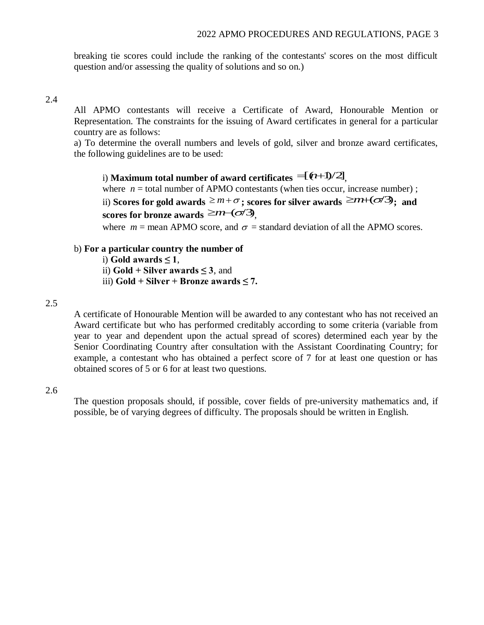breaking tie scores could include the ranking of the contestants' scores on the most difficult question and/or assessing the quality of solutions and so on.)

#### 2.4

All APMO contestants will receive a Certificate of Award, Honourable Mention or Representation. The constraints for the issuing of Award certificates in general for a particular country are as follows:

a) To determine the overall numbers and levels of gold, silver and bronze award certificates, the following guidelines are to be used:

i) **Maximum total number of award certificates**  $=$  $(\ell+1)/2$ **]<sub>,</sub>** 

where  $n =$  total number of APMO contestants (when ties occur, increase number) ;

ii) **Scores for gold awards**  $\geq m+\sigma$  ; scores for silver awards  $\geq$   $m+(\sigma/3)$  ; and scores for bronze awards  $\geq m$ −( $\sigma$ /3)<sub>,</sub>

where  $m =$  mean APMO score, and  $\sigma =$  standard deviation of all the APMO scores.

#### b) **For a particular country the number of**

- i) **Gold awards**  $\leq 1$ ,
- ii) **Gold + Silver awards ≤ 3**, and
- iii) **Gold + Silver + Bronze awards ≤ 7.**

#### 2.5

A certificate of Honourable Mention will be awarded to any contestant who has not received an Award certificate but who has performed creditably according to some criteria (variable from year to year and dependent upon the actual spread of scores) determined each year by the Senior Coordinating Country after consultation with the Assistant Coordinating Country; for example, a contestant who has obtained a perfect score of 7 for at least one question or has obtained scores of 5 or 6 for at least two questions.

#### 2.6

The question proposals should, if possible, cover fields of pre-university mathematics and, if possible, be of varying degrees of difficulty. The proposals should be written in English.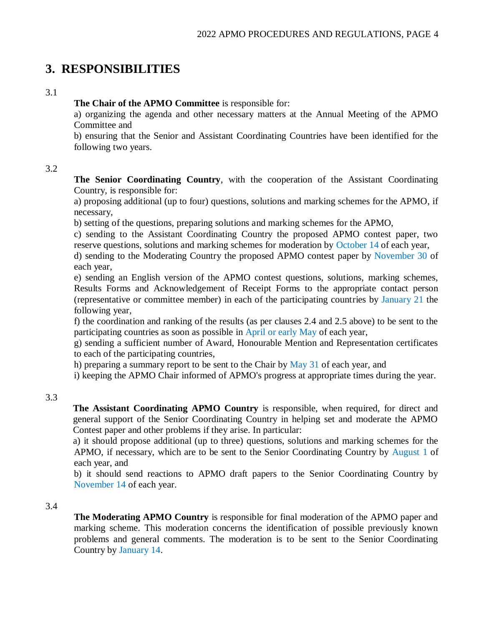### **3. RESPONSIBILITIES**

#### 3.1

**The Chair of the APMO Committee** is responsible for:

a) organizing the agenda and other necessary matters at the Annual Meeting of the APMO Committee and

b) ensuring that the Senior and Assistant Coordinating Countries have been identified for the following two years.

#### 3.2

**The Senior Coordinating Country**, with the cooperation of the Assistant Coordinating Country, is responsible for:

a) proposing additional (up to four) questions, solutions and marking schemes for the APMO, if necessary,

b) setting of the questions, preparing solutions and marking schemes for the APMO,

c) sending to the Assistant Coordinating Country the proposed APMO contest paper, two reserve questions, solutions and marking schemes for moderation by October 14 of each year,

d) sending to the Moderating Country the proposed APMO contest paper by November 30 of each year,

e) sending an English version of the APMO contest questions, solutions, marking schemes, Results Forms and Acknowledgement of Receipt Forms to the appropriate contact person (representative or committee member) in each of the participating countries by January 21 the following year,

f) the coordination and ranking of the results (as per clauses 2.4 and 2.5 above) to be sent to the participating countries as soon as possible in April or early May of each year,

g) sending a sufficient number of Award, Honourable Mention and Representation certificates to each of the participating countries,

h) preparing a summary report to be sent to the Chair by  $\text{May } 31$  of each year, and

i) keeping the APMO Chair informed of APMO's progress at appropriate times during the year.

#### 3.3

**The Assistant Coordinating APMO Country** is responsible, when required, for direct and general support of the Senior Coordinating Country in helping set and moderate the APMO Contest paper and other problems if they arise. In particular:

a) it should propose additional (up to three) questions, solutions and marking schemes for the APMO, if necessary, which are to be sent to the Senior Coordinating Country by August 1 of each year, and

b) it should send reactions to APMO draft papers to the Senior Coordinating Country by November 14 of each year.

#### 3.4

**The Moderating APMO Country** is responsible for final moderation of the APMO paper and marking scheme. This moderation concerns the identification of possible previously known problems and general comments. The moderation is to be sent to the Senior Coordinating Country by January 14.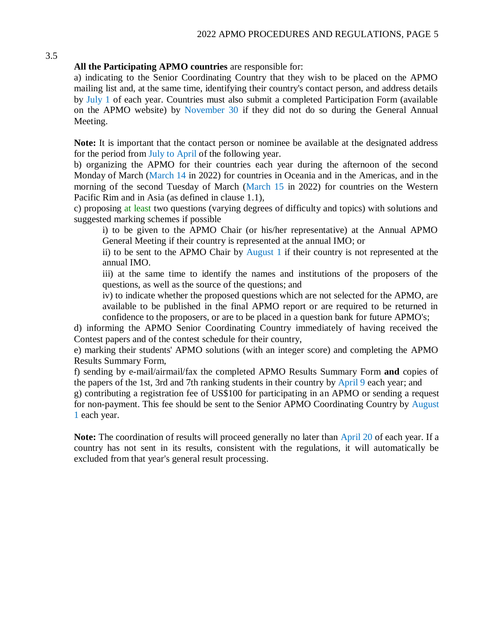#### **All the Participating APMO countries** are responsible for:

a) indicating to the Senior Coordinating Country that they wish to be placed on the APMO mailing list and, at the same time, identifying their country's contact person, and address details by July 1 of each year. Countries must also submit a completed Participation Form (available on the APMO website) by November 30 if they did not do so during the General Annual Meeting.

**Note:** It is important that the contact person or nominee be available at the designated address for the period from July to April of the following year.

b) organizing the APMO for their countries each year during the afternoon of the second Monday of March (March 14 in 2022) for countries in Oceania and in the Americas, and in the morning of the second Tuesday of March (March 15 in 2022) for countries on the Western Pacific Rim and in Asia (as defined in clause 1.1),

c) proposing at least two questions (varying degrees of difficulty and topics) with solutions and suggested marking schemes if possible

i) to be given to the APMO Chair (or his/her representative) at the Annual APMO General Meeting if their country is represented at the annual IMO; or

ii) to be sent to the APMO Chair by August 1 if their country is not represented at the annual IMO.

iii) at the same time to identify the names and institutions of the proposers of the questions, as well as the source of the questions; and

iv) to indicate whether the proposed questions which are not selected for the APMO, are available to be published in the final APMO report or are required to be returned in confidence to the proposers, or are to be placed in a question bank for future APMO's;

d) informing the APMO Senior Coordinating Country immediately of having received the Contest papers and of the contest schedule for their country,

e) marking their students' APMO solutions (with an integer score) and completing the APMO Results Summary Form,

f) sending by e-mail/airmail/fax the completed APMO Results Summary Form **and** copies of the papers of the 1st, 3rd and 7th ranking students in their country by April 9 each year; and

g) contributing a registration fee of US\$100 for participating in an APMO or sending a request for non-payment. This fee should be sent to the Senior APMO Coordinating Country by August 1 each year.

**Note:** The coordination of results will proceed generally no later than April 20 of each year. If a country has not sent in its results, consistent with the regulations, it will automatically be excluded from that year's general result processing.

#### 3.5